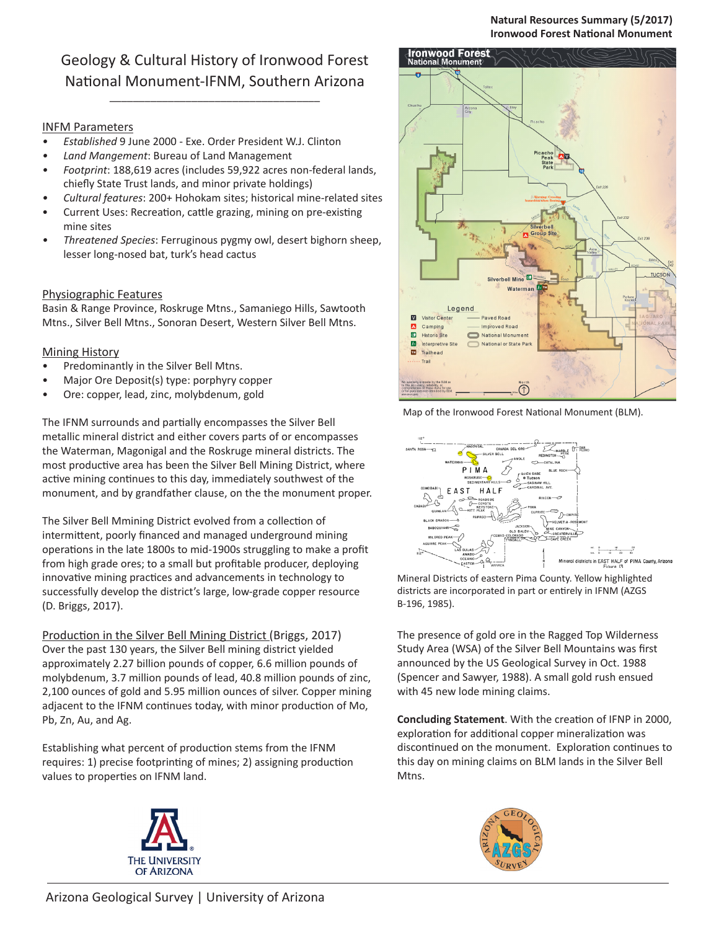### **Natural Resources Summary (5/2017) Ironwood Forest National Monument**

# Geology & Cultural History of Ironwood Forest National Monument-IFNM, Southern Arizona

\_\_\_\_\_\_\_\_\_\_\_\_\_\_\_\_\_\_\_\_\_\_\_\_\_\_\_\_\_\_\_\_\_\_\_\_

### INFM Parameters

- *• Established* 9 June 2000 Exe. Order President W.J. Clinton
- *• Land Mangement*: Bureau of Land Management
- *• Footprint*: 188,619 acres (includes 59,922 acres non-federal lands, chiefly State Trust lands, and minor private holdings)
- *• Cultural features*: 200+ Hohokam sites; historical mine-related sites
- Current Uses: Recreation, cattle grazing, mining on pre-existing mine sites
- *• Threatened Species*: Ferruginous pygmy owl, desert bighorn sheep, lesser long-nosed bat, turk's head cactus

### Physiographic Features

Basin & Range Province, Roskruge Mtns., Samaniego Hills, Sawtooth Mtns., Silver Bell Mtns., Sonoran Desert, Western Silver Bell Mtns.

#### **Mining History**

- Predominantly in the Silver Bell Mtns.
- Major Ore Deposit(s) type: porphyry copper
- Ore: copper, lead, zinc, molybdenum, gold

The IFNM surrounds and partially encompasses the Silver Bell metallic mineral district and either covers parts of or encompasses the Waterman, Magonigal and the Roskruge mineral districts. The most productive area has been the Silver Bell Mining District, where active mining continues to this day, immediately southwest of the monument, and by grandfather clause, on the the monument proper.

The Silver Bell Mmining District evolved from a collection of intermittent, poorly financed and managed underground mining operations in the late 1800s to mid-1900s struggling to make a profit from high grade ores; to a small but profitable producer, deploying innovative mining practices and advancements in technology to successfully develop the district's large, low-grade copper resource (D. Briggs, 2017).

Production in the Silver Bell Mining District (Briggs, 2017) Over the past 130 years, the Silver Bell mining district yielded approximately 2.27 billion pounds of copper, 6.6 million pounds of molybdenum, 3.7 million pounds of lead, 40.8 million pounds of zinc, 2,100 ounces of gold and 5.95 million ounces of silver. Copper mining adjacent to the IFNM continues today, with minor production of Mo, Pb, Zn, Au, and Ag.

Establishing what percent of production stems from the IFNM requires: 1) precise footprinting of mines; 2) assigning production values to properties on IFNM land.









Mineral Districts of eastern Pima County. Yellow highlighted districts are incorporated in part or entirely in IFNM (AZGS B-196, 1985).

The presence of gold ore in the Ragged Top Wilderness Study Area (WSA) of the Silver Bell Mountains was first announced by the US Geological Survey in Oct. 1988 (Spencer and Sawyer, 1988). A small gold rush ensued with 45 new lode mining claims.

**Concluding Statement**. With the creation of IFNP in 2000, exploration for additional copper mineralization was discontinued on the monument. Exploration continues to this day on mining claims on BLM lands in the Silver Bell Mtns.